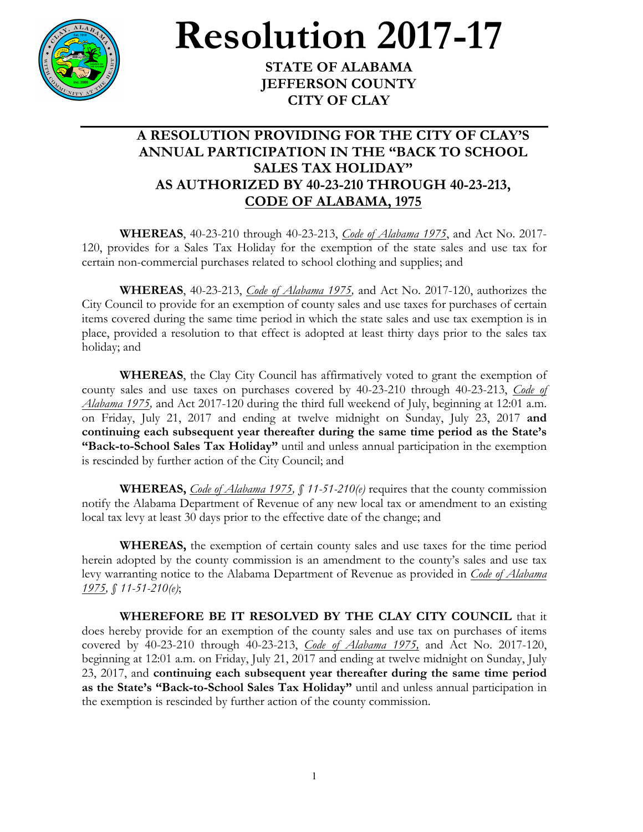

## **Resolution** 2017-17

**JEFFERSON COUNTY CITY OF CLAY**

## **A RESOLUTION PROVIDING FOR THE CITY OF CLAY'S ANNUAL PARTICIPATION IN THE "BACK TO SCHOOL SALES TAX HOLIDAY" AS AUTHORIZED BY 40-23-210 THROUGH 40-23-213, CODE OF ALABAMA, 1975**

**WHEREAS**, 40-23-210 through 40-23-213, *Code of Alabama 1975*, and Act No. 2017- 120, provides for a Sales Tax Holiday for the exemption of the state sales and use tax for certain non-commercial purchases related to school clothing and supplies; and

**WHEREAS**, 40-23-213, *Code of Alabama 1975,* and Act No. 2017-120, authorizes the City Council to provide for an exemption of county sales and use taxes for purchases of certain items covered during the same time period in which the state sales and use tax exemption is in place, provided a resolution to that effect is adopted at least thirty days prior to the sales tax holiday; and

**WHEREAS**, the Clay City Council has affirmatively voted to grant the exemption of county sales and use taxes on purchases covered by 40-23-210 through 40-23-213, *Code of Alabama 1975,* and Act 2017-120 during the third full weekend of July, beginning at 12:01 a.m. on Friday, July 21, 2017 and ending at twelve midnight on Sunday, July 23, 2017 **and continuing each subsequent year thereafter during the same time period as the State's "Back-to-School Sales Tax Holiday"** until and unless annual participation in the exemption is rescinded by further action of the City Council; and

**WHEREAS,** *Code of Alabama 1975, § 11-51-210(e)* requires that the county commission notify the Alabama Department of Revenue of any new local tax or amendment to an existing local tax levy at least 30 days prior to the effective date of the change; and

**WHEREAS,** the exemption of certain county sales and use taxes for the time period herein adopted by the county commission is an amendment to the county's sales and use tax levy warranting notice to the Alabama Department of Revenue as provided in *Code of Alabama 1975, § 11-51-210(e)*;

**WHEREFORE BE IT RESOLVED BY THE CLAY CITY COUNCIL** that it does hereby provide for an exemption of the county sales and use tax on purchases of items covered by 40-23-210 through 40-23-213, *Code of Alabama 1975,* and Act No. 2017-120, beginning at 12:01 a.m. on Friday, July 21, 2017 and ending at twelve midnight on Sunday, July 23, 2017, and **continuing each subsequent year thereafter during the same time period as the State's "Back-to-School Sales Tax Holiday"** until and unless annual participation in the exemption is rescinded by further action of the county commission.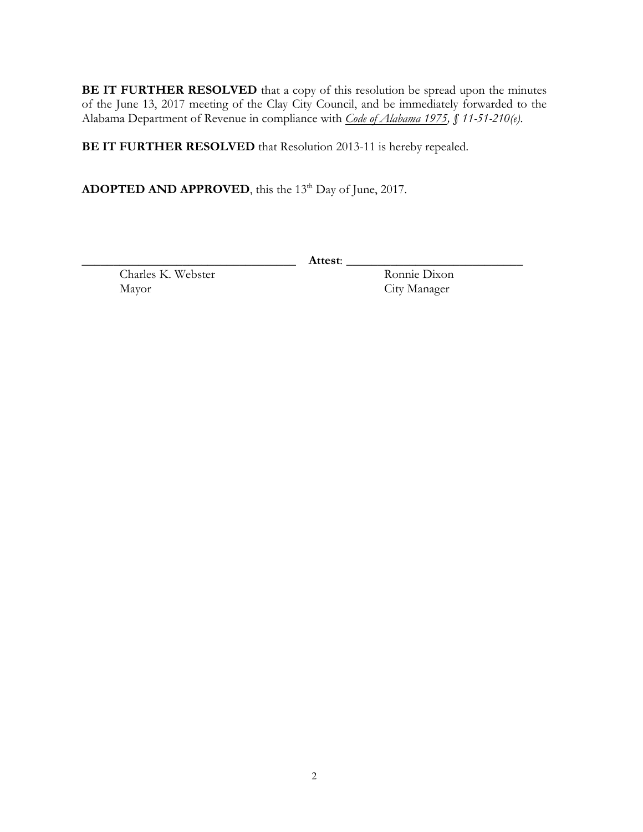**BE IT FURTHER RESOLVED** that a copy of this resolution be spread upon the minutes of the June 13, 2017 meeting of the Clay City Council, and be immediately forwarded to the Alabama Department of Revenue in compliance with *Code of Alabama 1975, § 11-51-210(e)*.

**BE IT FURTHER RESOLVED** that Resolution 2013-11 is hereby repealed.

ADOPTED AND APPROVED, this the 13<sup>th</sup> Day of June, 2017.

\_\_\_\_\_\_\_\_\_\_\_\_\_\_\_\_\_\_\_\_\_\_\_\_\_\_\_\_\_\_\_\_\_\_ **Attest**: \_\_\_\_\_\_\_\_\_\_\_\_\_\_\_\_\_\_\_\_\_\_\_\_\_\_\_\_

Charles K. Webster Ronnie Dixon Mayor City Manager